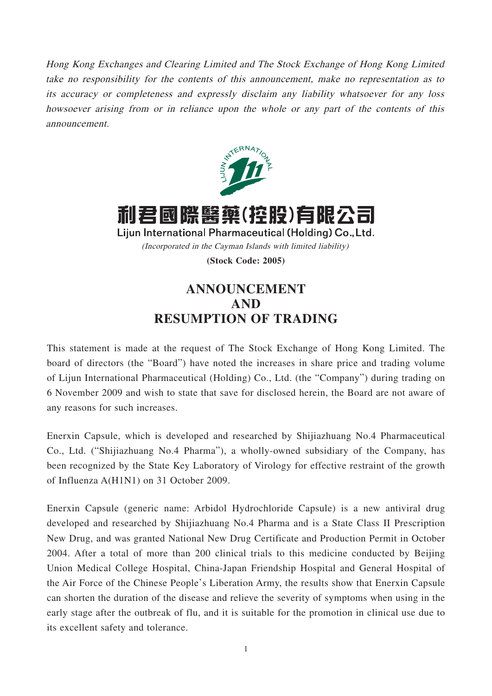Hong Kong Exchanges and Clearing Limited and The Stock Exchange of Hong Kong Limited take no responsibility for the contents of this announcement, make no representation as to its accuracy or completeness and expressly disclaim any liability whatsoever for any loss howsoever arising from or in reliance upon the whole or any part of the contents of this announcement.



利君國際醫藥(控股)有限公司 Lijun International Pharmaceutical (Holding) Co., Ltd. (Incorporated in the Cayman Islands with limited liability)

**(Stock Code: 2005)**

## **ANNOUNCEMENT AND RESUMPTION OF TRADING**

This statement is made at the request of The Stock Exchange of Hong Kong Limited. The board of directors (the "Board") have noted the increases in share price and trading volume of Lijun International Pharmaceutical (Holding) Co., Ltd. (the "Company") during trading on 6 November 2009 and wish to state that save for disclosed herein, the Board are not aware of any reasons for such increases.

Enerxin Capsule, which is developed and researched by Shijiazhuang No.4 Pharmaceutical Co., Ltd. ("Shijiazhuang No.4 Pharma"), a wholly-owned subsidiary of the Company, has been recognized by the State Key Laboratory of Virology for effective restraint of the growth of Influenza A(H1N1) on 31 October 2009.

Enerxin Capsule (generic name: Arbidol Hydrochloride Capsule) is a new antiviral drug developed and researched by Shijiazhuang No.4 Pharma and is a State Class II Prescription New Drug, and was granted National New Drug Certificate and Production Permit in October 2004. After a total of more than 200 clinical trials to this medicine conducted by Beijing Union Medical College Hospital, China-Japan Friendship Hospital and General Hospital of the Air Force of the Chinese People's Liberation Army, the results show that Enerxin Capsule can shorten the duration of the disease and relieve the severity of symptoms when using in the early stage after the outbreak of flu, and it is suitable for the promotion in clinical use due to its excellent safety and tolerance.